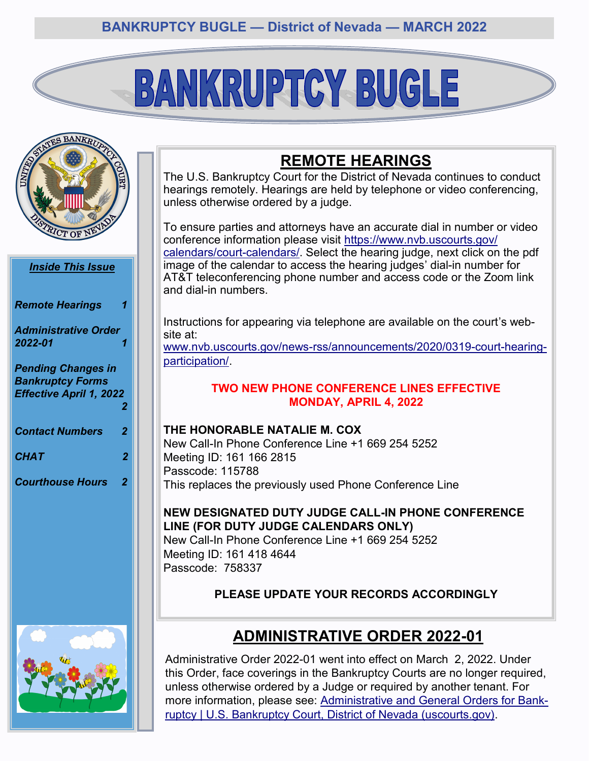# **BANKRUPTCY BUGLE**





# **REMOTE HEARINGS**

The U.S. Bankruptcy Court for the District of Nevada continues to conduct hearings remotely. Hearings are held by telephone or video conferencing, unless otherwise ordered by a judge.

To ensure parties and attorneys have an accurate dial in number or video conference information please visit [https://www.nvb.uscourts.gov/](https://www.nvb.uscourts.gov/calendars/court-calendars/) [calendars/court](https://www.nvb.uscourts.gov/calendars/court-calendars/)-calendars/. Select the hearing judge, next click on the pdf image of the calendar to access the hearing judges' dial-in number for AT&T teleconferencing phone number and access code or the Zoom link and dial-in numbers.

Instructions for appearing via telephone are available on the court's website at:

www.nvb.uscourts.gov/news-[rss/announcements/2020/0319](http://www.nvb.uscourts.gov/news-rss/announcements/2020/0319-court-hearing-participation/)-court-hearing[participation/.](http://www.nvb.uscourts.gov/news-rss/announcements/2020/0319-court-hearing-participation/)

#### **TWO NEW PHONE CONFERENCE LINES EFFECTIVE MONDAY, APRIL 4, 2022**

#### **THE HONORABLE NATALIE M. COX**

New Call-In Phone Conference Line +1 669 254 5252 Meeting ID: 161 166 2815 Passcode: 115788 This replaces the previously used Phone Conference Line

**NEW DESIGNATED DUTY JUDGE CALL-IN PHONE CONFERENCE LINE (FOR DUTY JUDGE CALENDARS ONLY)** 

New Call-In Phone Conference Line +1 669 254 5252 Meeting ID: 161 418 4644 Passcode: 758337

**PLEASE UPDATE YOUR RECORDS ACCORDINGLY**

# **ADMINISTRATIVE ORDER 2022-01**

Administrative Order 2022-01 went into effect on March 2, 2022. Under this Order, face coverings in the Bankruptcy Courts are no longer required, unless otherwise ordered by a Judge or required by another tenant. For more information, please see: [Administrative and General Orders for Bank](https://www.nvb.uscourts.gov/rules-forms/rules/administrative-orders/)[ruptcy | U.S. Bankruptcy Court, District of Nevada \(uscourts.gov\).](https://www.nvb.uscourts.gov/rules-forms/rules/administrative-orders/)